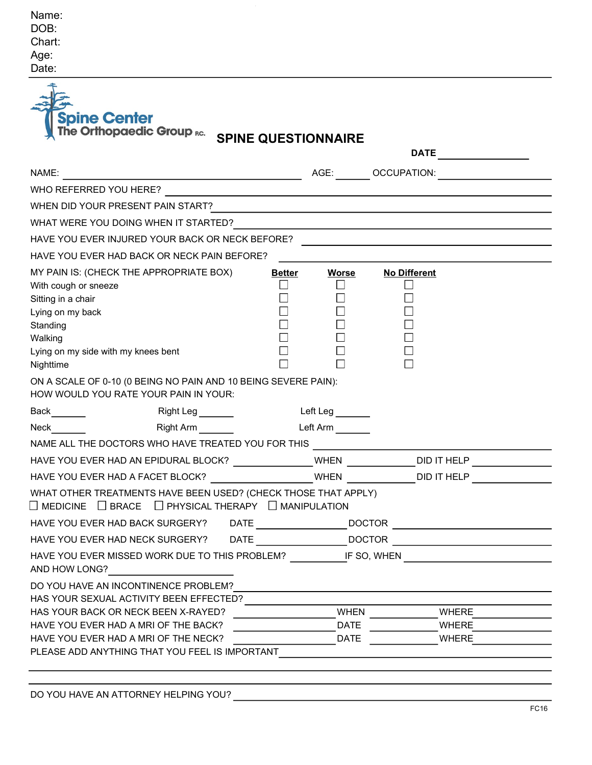| Name:  |
|--------|
| DOB:   |
| Chart: |
| Age:   |
| Date:  |

| NAME:<br><u> 1989 - Johann Barbara, martxa alemaniar amerikan personal (h. 1989).</u>                   |               |                              | AGE: OCCUPATION:                                                                                                |
|---------------------------------------------------------------------------------------------------------|---------------|------------------------------|-----------------------------------------------------------------------------------------------------------------|
| WHO REFERRED YOU HERE?                                                                                  |               |                              |                                                                                                                 |
| WHEN DID YOUR PRESENT PAIN START?                                                                       |               |                              | the contract of the contract of the contract of the contract of the contract of the contract of the contract of |
|                                                                                                         |               |                              |                                                                                                                 |
| HAVE YOU EVER INJURED YOUR BACK OR NECK BEFORE?                                                         |               |                              |                                                                                                                 |
| HAVE YOU EVER HAD BACK OR NECK PAIN BEFORE?                                                             |               |                              |                                                                                                                 |
| MY PAIN IS: (CHECK THE APPROPRIATE BOX)                                                                 | <b>Better</b> | <b>Worse</b>                 | <b>No Different</b>                                                                                             |
| With cough or sneeze                                                                                    |               |                              | $\Box$                                                                                                          |
| Sitting in a chair                                                                                      |               |                              |                                                                                                                 |
| Lying on my back                                                                                        |               |                              |                                                                                                                 |
| Standing<br>Walking                                                                                     |               |                              |                                                                                                                 |
| Lying on my side with my knees bent                                                                     |               |                              |                                                                                                                 |
| Nighttime                                                                                               |               |                              |                                                                                                                 |
| ON A SCALE OF 0-10 (0 BEING NO PAIN AND 10 BEING SEVERE PAIN):<br>HOW WOULD YOU RATE YOUR PAIN IN YOUR: |               |                              |                                                                                                                 |
| Back<br>Right Leg _______                                                                               |               | Left Leg <sub>________</sub> |                                                                                                                 |
| Right Arm<br>Neck <b>Neck</b>                                                                           |               | Left Arm                     |                                                                                                                 |
| NAME ALL THE DOCTORS WHO HAVE TREATED YOU FOR THIS                                                      |               |                              |                                                                                                                 |
| HAVE YOU EVER HAD AN EPIDURAL BLOCK? _______________WHEN ____________DID IT HELP __________________     |               |                              |                                                                                                                 |
| HAVE YOU EVER HAD A FACET BLOCK? ______________________WHEN ______________DID IT HELP                   |               |                              |                                                                                                                 |
| WHAT OTHER TREATMENTS HAVE BEEN USED? (CHECK THOSE THAT APPLY)                                          |               |                              |                                                                                                                 |
| $\Box$ MEDICINE $\Box$ BRACE $\Box$ PHYSICAL THERAPY $\Box$ MANIPULATION                                |               |                              |                                                                                                                 |
| HAVE YOU EVER HAD BACK SURGERY? DATE _________________________DOCTOR _______________________________    |               |                              |                                                                                                                 |
| HAVE YOU EVER HAD NECK SURGERY? DATE ________________________DOCTOR _____________                       |               |                              |                                                                                                                 |
| HAVE YOU EVER MISSED WORK DUE TO THIS PROBLEM? _________________________________                        |               |                              |                                                                                                                 |
| AND HOW LONG?                                                                                           |               |                              |                                                                                                                 |
| DO YOU HAVE AN INCONTINENCE PROBLEM?                                                                    |               |                              |                                                                                                                 |
| HAS YOUR SEXUAL ACTIVITY BEEN EFFECTED?                                                                 |               |                              |                                                                                                                 |
|                                                                                                         |               |                              | WHEN $\qquad \qquad \qquad$<br>WHERE                                                                            |
| HAS YOUR BACK OR NECK BEEN X-RAYED?                                                                     |               |                              |                                                                                                                 |
| HAVE YOU EVER HAD A MRI OF THE BACK?<br>HAVE YOU EVER HAD A MRI OF THE NECK?                            |               | <b>DATE</b><br><b>DATE</b>   | WHERE<br><b>WHERE</b>                                                                                           |